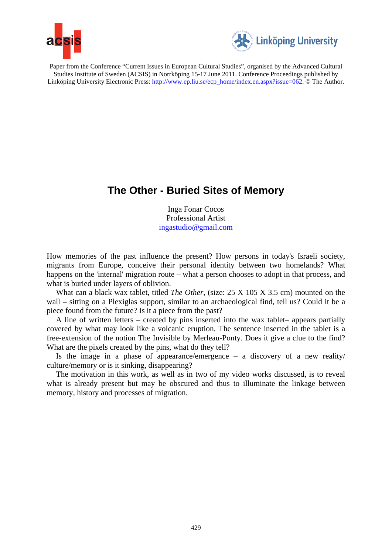



Paper from the Conference "Current Issues in European Cultural Studies", organised by the Advanced Cultural Studies Institute of Sweden (ACSIS) in Norrköping 15-17 June 2011. Conference Proceedings published by Linköping University Electronic Press: http://www.ep.liu.se/ecp\_home/index.en.aspx?issue=062. © The Author.

# **The Other - Buried Sites of Memory**

Inga Fonar Cocos Professional Artist ingastudio@gmail.com

How memories of the past influence the present? How persons in today's Israeli society, migrants from Europe, conceive their personal identity between two homelands? What happens on the 'internal' migration route – what a person chooses to adopt in that process, and what is buried under layers of oblivion.

What can a black wax tablet, titled *The Other*, (size: 25 X 105 X 3.5 cm) mounted on the wall – sitting on a Plexiglas support, similar to an archaeological find, tell us? Could it be a piece found from the future? Is it a piece from the past?

A line of written letters – created by pins inserted into the wax tablet– appears partially covered by what may look like a volcanic eruption. The sentence inserted in the tablet is a free-extension of the notion The Invisible by Merleau-Ponty. Does it give a clue to the find? What are the pixels created by the pins, what do they tell?

Is the image in a phase of appearance/emergence – a discovery of a new reality/ culture/memory or is it sinking, disappearing?

The motivation in this work, as well as in two of my video works discussed, is to reveal what is already present but may be obscured and thus to illuminate the linkage between memory, history and processes of migration.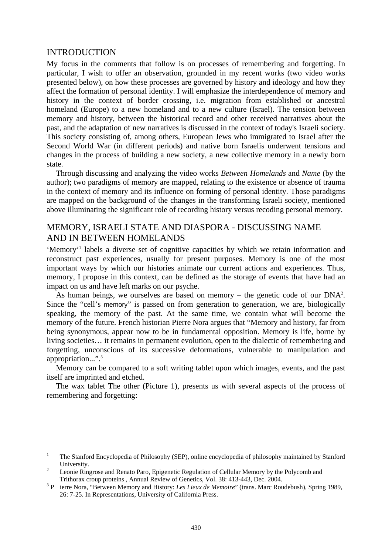### INTRODUCTION

My focus in the comments that follow is on processes of remembering and forgetting. In particular, I wish to offer an observation, grounded in my recent works (two video works presented below), on how these processes are governed by history and ideology and how they affect the formation of personal identity. I will emphasize the interdependence of memory and history in the context of border crossing, i.e. migration from established or ancestral homeland (Europe) to a new homeland and to a new culture (Israel). The tension between memory and history, between the historical record and other received narratives about the past, and the adaptation of new narratives is discussed in the context of today's Israeli society. This society consisting of, among others, European Jews who immigrated to Israel after the Second World War (in different periods) and native born Israelis underwent tensions and changes in the process of building a new society, a new collective memory in a newly born state.

Through discussing and analyzing the video works *Between Homelands* and *Name* (by the author); two paradigms of memory are mapped, relating to the existence or absence of trauma in the context of memory and its influence on forming of personal identity. Those paradigms are mapped on the background of the changes in the transforming Israeli society, mentioned above illuminating the significant role of recording history versus recoding personal memory.

# MEMORY, ISRAELI STATE AND DIASPORA - DISCUSSING NAME AND IN BETWEEN HOMELANDS

'Memory'<sup>1</sup> labels a diverse set of cognitive capacities by which we retain information and reconstruct past experiences, usually for present purposes. Memory is one of the most important ways by which our histories animate our current actions and experiences. Thus, memory, I propose in this context, can be defined as the storage of events that have had an impact on us and have left marks on our psyche.

As human beings, we ourselves are based on memory  $-$  the genetic code of our  $DNA<sup>2</sup>$ . Since the "cell's memory" is passed on from generation to generation, we are, biologically speaking, the memory of the past. At the same time, we contain what will become the memory of the future. French historian Pierre Nora argues that "Memory and history, far from being synonymous, appear now to be in fundamental opposition. Memory is life, borne by living societies… it remains in permanent evolution, open to the dialectic of remembering and forgetting, unconscious of its successive deformations, vulnerable to manipulation and appropriation...".<sup>3</sup>

Memory can be compared to a soft writing tablet upon which images, events, and the past itself are imprinted and etched.

The wax tablet The other (Picture 1), presents us with several aspects of the process of remembering and forgetting:

 $\frac{1}{1}$  The Stanford Encyclopedia of Philosophy (SEP), online encyclopedia of philosophy maintained by Stanford University.

Leonie Ringrose and Renato Paro, Epigenetic Regulation of Cellular Memory by the Polycomb and Trithorax croup proteins, Annual Review of Genetics, Vol. 38: 413-443, Dec. 2004.

<sup>&</sup>lt;sup>3</sup> P ierre Nora, "Between Memory and History: *Les Lieux de Memoire*" (trans. Marc Roudebush), Spring 1989, 26: 7-25. In Representations, University of California Press.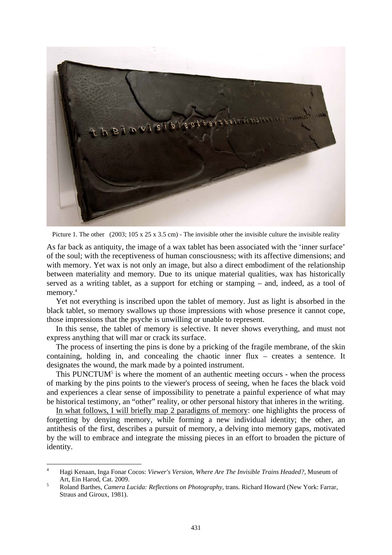

Picture 1. The other  $(2003; 105 \times 25 \times 3.5 \text{ cm})$  - The invisible other the invisible culture the invisible reality

As far back as antiquity, the image of a wax tablet has been associated with the 'inner surface' of the soul; with the receptiveness of human consciousness; with its affective dimensions; and with memory. Yet wax is not only an image, but also a direct embodiment of the relationship between materiality and memory. Due to its unique material qualities, wax has historically served as a writing tablet, as a support for etching or stamping – and, indeed, as a tool of memory.<sup>4</sup>

Yet not everything is inscribed upon the tablet of memory. Just as light is absorbed in the black tablet, so memory swallows up those impressions with whose presence it cannot cope, those impressions that the psyche is unwilling or unable to represent.

In this sense, the tablet of memory is selective. It never shows everything, and must not express anything that will mar or crack its surface.

The process of inserting the pins is done by a pricking of the fragile membrane, of the skin containing, holding in, and concealing the chaotic inner flux – creates a sentence. It designates the wound, the mark made by a pointed instrument.

This PUNCTUM $<sup>5</sup>$  is where the moment of an authentic meeting occurs - when the process</sup> of marking by the pins points to the viewer's process of seeing, when he faces the black void and experiences a clear sense of impossibility to penetrate a painful experience of what may be historical testimony, an "other" reality, or other personal history that inheres in the writing.

In what follows, I will briefly map 2 paradigms of memory: one highlights the process of forgetting by denying memory, while forming a new individual identity; the other, an antithesis of the first, describes a pursuit of memory, a delving into memory gaps, motivated by the will to embrace and integrate the missing pieces in an effort to broaden the picture of identity.

1

<sup>4</sup> Hagi Kenaan, Inga Fonar Cocos: *Viewer's Version, Where Are The Invisible Trains Headed?*, Museum of Art, Ein Harod, Cat. 2009.

Roland Barthes, *Camera Lucida: Reflections on Photography*, trans. Richard Howard (New York: Farrar, Straus and Giroux, 1981).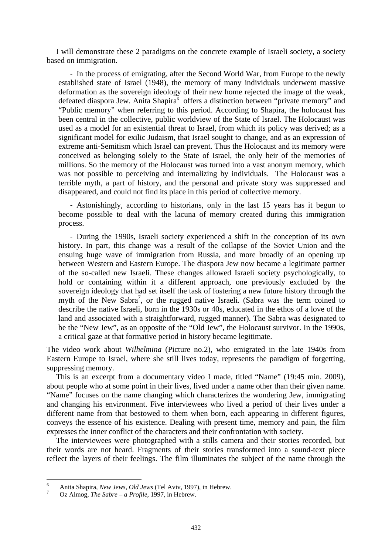I will demonstrate these 2 paradigms on the concrete example of Israeli society, a society based on immigration.

‐ In the process of emigrating, after the Second World War, from Europe to the newly established state of Israel (1948), the memory of many individuals underwent massive deformation as the sovereign ideology of their new home rejected the image of the weak, defeated diaspora Jew. Anita Shapira<sup>6</sup> offers a distinction between "private memory" and "Public memory" when referring to this period. According to Shapira, the holocaust has been central in the collective, public worldview of the State of Israel. The Holocaust was used as a model for an existential threat to Israel, from which its policy was derived; as a significant model for exilic Judaism, that Israel sought to change, and as an expression of extreme anti-Semitism which Israel can prevent. Thus the Holocaust and its memory were conceived as belonging solely to the State of Israel, the only heir of the memories of millions. So the memory of the Holocaust was turned into a vast anonym memory, which was not possible to perceiving and internalizing by individuals. The Holocaust was a terrible myth, a part of history, and the personal and private story was suppressed and disappeared, and could not find its place in this period of collective memory.

‐ Astonishingly, according to historians, only in the last 15 years has it begun to become possible to deal with the lacuna of memory created during this immigration process.

‐ During the 1990s, Israeli society experienced a shift in the conception of its own history. In part, this change was a result of the collapse of the Soviet Union and the ensuing huge wave of immigration from Russia, and more broadly of an opening up between Western and Eastern Europe. The diaspora Jew now became a legitimate partner of the so-called new Israeli. These changes allowed Israeli society psychologically, to hold or containing within it a different approach, one previously excluded by the sovereign ideology that had set itself the task of fostering a new future history through the myth of the New Sabra<sup>7</sup>, or the rugged native Israeli. (Sabra was the term coined to describe the native Israeli, born in the 1930s or 40s, educated in the ethos of a love of the land and associated with a straightforward, rugged manner). The Sabra was designated to be the "New Jew", as an opposite of the "Old Jew", the Holocaust survivor. In the 1990s, a critical gaze at that formative period in history became legitimate.

The video work about *Wilhelmina* (Picture no.2), who emigrated in the late 1940s from Eastern Europe to Israel, where she still lives today, represents the paradigm of forgetting, suppressing memory.

This is an excerpt from a documentary video I made, titled "Name" (19:45 min. 2009), about people who at some point in their lives, lived under a name other than their given name. "Name" focuses on the name changing which characterizes the wondering Jew, immigrating and changing his environment. Five interviewees who lived a period of their lives under a different name from that bestowed to them when born, each appearing in different figures, conveys the essence of his existence. Dealing with present time, memory and pain, the film expresses the inner conflict of the characters and their confrontation with society.

The interviewees were photographed with a stills camera and their stories recorded, but their words are not heard. Fragments of their stories transformed into a sound-text piece reflect the layers of their feelings. The film illuminates the subject of the name through the

<u>.</u>

<sup>6</sup> Anita Shapira, *New Jews, Old Jews* (Tel Aviv, 1997), in Hebrew. 7

Oz Almog, *The Sabre – a Profile*, 1997, in Hebrew.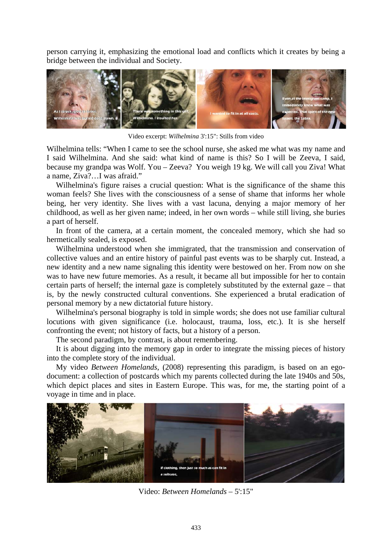person carrying it, emphasizing the emotional load and conflicts which it creates by being a bridge between the individual and Society.



Video excerpt: *Wilhelmina* 3':15": Stills from video

Wilhelmina tells: "When I came to see the school nurse, she asked me what was my name and I said Wilhelmina. And she said: what kind of name is this? So I will be Zeeva, I said, because my grandpa was Wolf. You – Zeeva? You weigh 19 kg. We will call you Ziva! What a name, Ziva?…I was afraid."

Wilhelmina's figure raises a crucial question: What is the significance of the shame this woman feels? She lives with the consciousness of a sense of shame that informs her whole being, her very identity. She lives with a vast lacuna, denying a major memory of her childhood, as well as her given name; indeed, in her own words – while still living, she buries a part of herself.

In front of the camera, at a certain moment, the concealed memory, which she had so hermetically sealed, is exposed.

Wilhelmina understood when she immigrated, that the transmission and conservation of collective values and an entire history of painful past events was to be sharply cut. Instead, a new identity and a new name signaling this identity were bestowed on her. From now on she was to have new future memories. As a result, it became all but impossible for her to contain certain parts of herself; the internal gaze is completely substituted by the external gaze – that is, by the newly constructed cultural conventions. She experienced a brutal eradication of personal memory by a new dictatorial future history.

Wilhelmina's personal biography is told in simple words; she does not use familiar cultural locutions with given significance (i.e. holocaust, trauma, loss, etc.). It is she herself confronting the event; not history of facts, but a history of a person.

The second paradigm, by contrast, is about remembering.

It is about digging into the memory gap in order to integrate the missing pieces of history into the complete story of the individual.

My video *Between Homelands*, (2008) representing this paradigm, is based on an egodocument: a collection of postcards which my parents collected during the late 1940s and 50s, which depict places and sites in Eastern Europe. This was, for me, the starting point of a voyage in time and in place.



Video: *Between Homelands* – 5':15"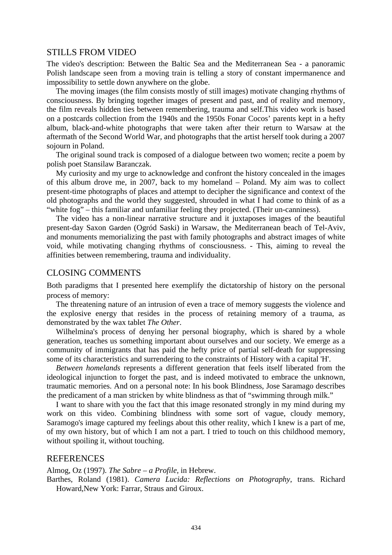#### STILLS FROM VIDEO

The video's description: Between the Baltic Sea and the Mediterranean Sea - a panoramic Polish landscape seen from a moving train is telling a story of constant impermanence and impossibility to settle down anywhere on the globe.

The moving images (the film consists mostly of still images) motivate changing rhythms of consciousness. By bringing together images of present and past, and of reality and memory, the film reveals hidden ties between remembering, trauma and self.This video work is based on a postcards collection from the 1940s and the 1950s Fonar Cocos' parents kept in a hefty album, black-and-white photographs that were taken after their return to Warsaw at the aftermath of the Second World War, and photographs that the artist herself took during a 2007 sojourn in Poland.

The original sound track is composed of a dialogue between two women; recite a poem by polish poet Stansilaw Baranczak.

My curiosity and my urge to acknowledge and confront the history concealed in the images of this album drove me, in 2007, back to my homeland – Poland. My aim was to collect present-time photographs of places and attempt to decipher the significance and context of the old photographs and the world they suggested, shrouded in what I had come to think of as a "white fog" – this familiar and unfamiliar feeling they projected. (Their un-canniness).

The video has a non-linear narrative structure and it juxtaposes images of the beautiful present-day Saxon Garden (Ogród Saski) in Warsaw, the Mediterranean beach of Tel-Aviv, and monuments memorializing the past with family photographs and abstract images of white void, while motivating changing rhythms of consciousness. - This, aiming to reveal the affinities between remembering, trauma and individuality.

## CLOSING COMMENTS

Both paradigms that I presented here exemplify the dictatorship of history on the personal process of memory:

The threatening nature of an intrusion of even a trace of memory suggests the violence and the explosive energy that resides in the process of retaining memory of a trauma, as demonstrated by the wax tablet *The Other*.

Wilhelmina's process of denying her personal biography, which is shared by a whole generation, teaches us something important about ourselves and our society. We emerge as a community of immigrants that has paid the hefty price of partial self-death for suppressing some of its characteristics and surrendering to the constraints of History with a capital 'H'.

*Between homelands* represents a different generation that feels itself liberated from the ideological injunction to forget the past, and is indeed motivated to embrace the unknown, traumatic memories. And on a personal note: In his book Blindness, Jose Saramago describes the predicament of a man stricken by white blindness as that of "swimming through milk."

I want to share with you the fact that this image resonated strongly in my mind during my work on this video. Combining blindness with some sort of vague, cloudy memory, Saramogo's image captured my feelings about this other reality, which I knew is a part of me, of my own history, but of which I am not a part. I tried to touch on this childhood memory, without spoiling it, without touching.

#### **REFERENCES**

Almog, Oz (1997). *The Sabre – a Profile*, in Hebrew.

Barthes, Roland (1981). *Camera Lucida: Reflections on Photography*, trans. Richard Howard,New York: Farrar, Straus and Giroux.